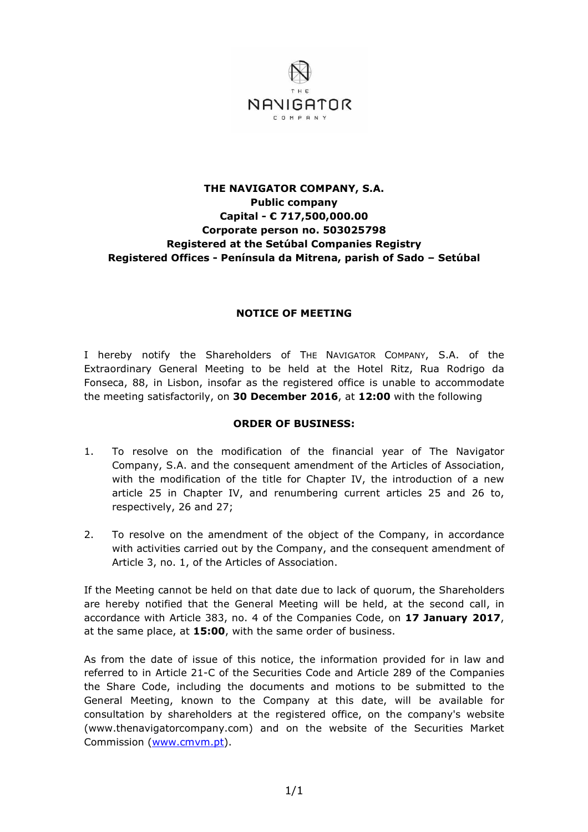

## **THE NAVIGATOR COMPANY, S.A. Public company Capital - € 717,500,000.00 Corporate person no. 503025798 Registered at the Setúbal Companies Registry Registered Offices - Península da Mitrena, parish of Sado – Setúbal**

## **NOTICE OF MEETING**

I hereby notify the Shareholders of THE NAVIGATOR COMPANY, S.A. of the Extraordinary General Meeting to be held at the Hotel Ritz, Rua Rodrigo da Fonseca, 88, in Lisbon, insofar as the registered office is unable to accommodate the meeting satisfactorily, on **30 December 2016**, at **12:00** with the following

## **ORDER OF BUSINESS:**

- 1. To resolve on the modification of the financial year of The Navigator Company, S.A. and the consequent amendment of the Articles of Association, with the modification of the title for Chapter IV, the introduction of a new article 25 in Chapter IV, and renumbering current articles 25 and 26 to, respectively, 26 and 27;
- 2. To resolve on the amendment of the object of the Company, in accordance with activities carried out by the Company, and the consequent amendment of Article 3, no. 1, of the Articles of Association.

If the Meeting cannot be held on that date due to lack of quorum, the Shareholders are hereby notified that the General Meeting will be held, at the second call, in accordance with Article 383, no. 4 of the Companies Code, on **17 January 2017**, at the same place, at **15:00**, with the same order of business.

As from the date of issue of this notice, the information provided for in law and referred to in Article 21-C of the Securities Code and Article 289 of the Companies the Share Code, including the documents and motions to be submitted to the General Meeting, known to the Company at this date, will be available for consultation by shareholders at the registered office, on the company's website (www.thenavigatorcompany.com) and on the website of the Securities Market Commission (www.cmvm.pt).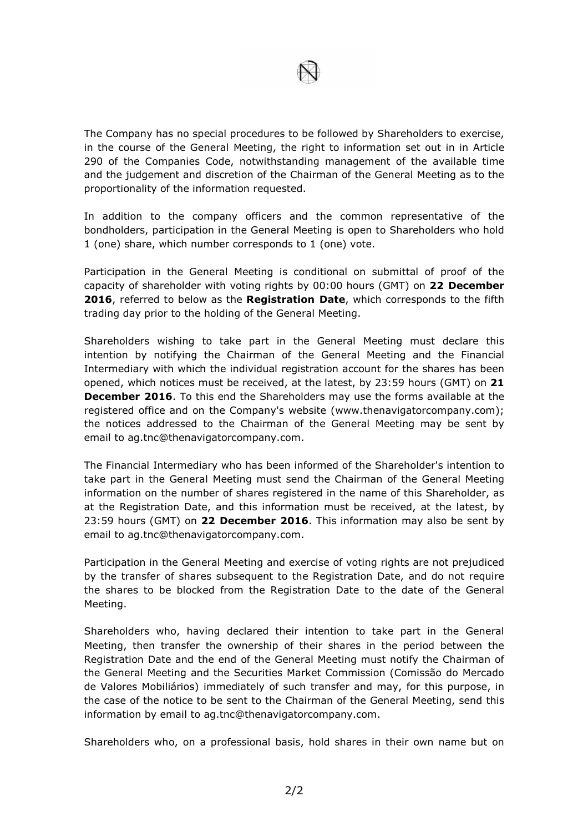

The Company has no special procedures to be followed by Shareholders to exercise, in the course of the General Meeting, the right to information set out in in Article 290 of the Companies Code, notwithstanding management of the available time and the judgement and discretion of the Chairman of the General Meeting as to the proportionality of the information requested.

In addition to the company officers and the common representative of the bondholders, participation in the General Meeting is open to Shareholders who hold 1 (one) share, which number corresponds to 1 (one) vote.

Participation in the General Meeting is conditional on submittal of proof of the capacity of shareholder with voting rights by 00:00 hours (GMT) on **22 December 2016**, referred to below as the **Registration Date**, which corresponds to the fifth trading day prior to the holding of the General Meeting.

Shareholders wishing to take part in the General Meeting must declare this intention by notifying the Chairman of the General Meeting and the Financial Intermediary with which the individual registration account for the shares has been opened, which notices must be received, at the latest, by 23:59 hours (GMT) on **21 December 2016**. To this end the Shareholders may use the forms available at the registered office and on the Company's website (www.thenavigatorcompany.com); the notices addressed to the Chairman of the General Meeting may be sent by email to ag.tnc@thenavigatorcompany.com.

The Financial Intermediary who has been informed of the Shareholder's intention to take part in the General Meeting must send the Chairman of the General Meeting information on the number of shares registered in the name of this Shareholder, as at the Registration Date, and this information must be received, at the latest, by 23:59 hours (GMT) on **22 December 2016**. This information may also be sent by email to ag.tnc@thenavigatorcompany.com.

Participation in the General Meeting and exercise of voting rights are not prejudiced by the transfer of shares subsequent to the Registration Date, and do not require the shares to be blocked from the Registration Date to the date of the General Meeting.

Shareholders who, having declared their intention to take part in the General Meeting, then transfer the ownership of their shares in the period between the Registration Date and the end of the General Meeting must notify the Chairman of the General Meeting and the Securities Market Commission (Comissão do Mercado de Valores Mobiliários) immediately of such transfer and may, for this purpose, in the case of the notice to be sent to the Chairman of the General Meeting, send this information by email to ag.tnc@thenavigatorcompany.com.

Shareholders who, on a professional basis, hold shares in their own name but on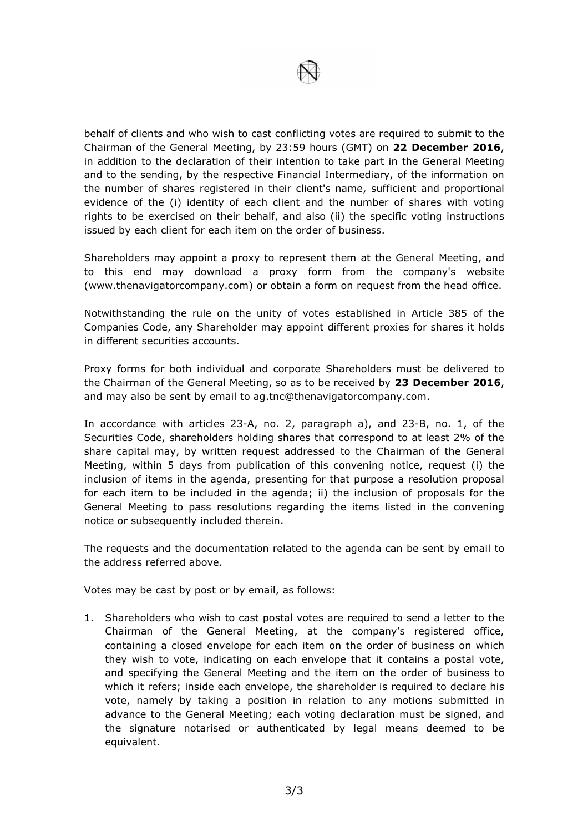

behalf of clients and who wish to cast conflicting votes are required to submit to the Chairman of the General Meeting, by 23:59 hours (GMT) on **22 December 2016**, in addition to the declaration of their intention to take part in the General Meeting and to the sending, by the respective Financial Intermediary, of the information on the number of shares registered in their client's name, sufficient and proportional evidence of the (i) identity of each client and the number of shares with voting rights to be exercised on their behalf, and also (ii) the specific voting instructions issued by each client for each item on the order of business.

Shareholders may appoint a proxy to represent them at the General Meeting, and to this end may download a proxy form from the company's website (www.thenavigatorcompany.com) or obtain a form on request from the head office.

Notwithstanding the rule on the unity of votes established in Article 385 of the Companies Code, any Shareholder may appoint different proxies for shares it holds in different securities accounts.

Proxy forms for both individual and corporate Shareholders must be delivered to the Chairman of the General Meeting, so as to be received by **23 December 2016**, and may also be sent by email to ag.tnc@thenavigatorcompany.com.

In accordance with articles 23-A, no. 2, paragraph a), and 23-B, no. 1, of the Securities Code, shareholders holding shares that correspond to at least 2% of the share capital may, by written request addressed to the Chairman of the General Meeting, within 5 days from publication of this convening notice, request (i) the inclusion of items in the agenda, presenting for that purpose a resolution proposal for each item to be included in the agenda; ii) the inclusion of proposals for the General Meeting to pass resolutions regarding the items listed in the convening notice or subsequently included therein.

The requests and the documentation related to the agenda can be sent by email to the address referred above.

Votes may be cast by post or by email, as follows:

1. Shareholders who wish to cast postal votes are required to send a letter to the Chairman of the General Meeting, at the company's registered office, containing a closed envelope for each item on the order of business on which they wish to vote, indicating on each envelope that it contains a postal vote, and specifying the General Meeting and the item on the order of business to which it refers; inside each envelope, the shareholder is required to declare his vote, namely by taking a position in relation to any motions submitted in advance to the General Meeting; each voting declaration must be signed, and the signature notarised or authenticated by legal means deemed to be equivalent.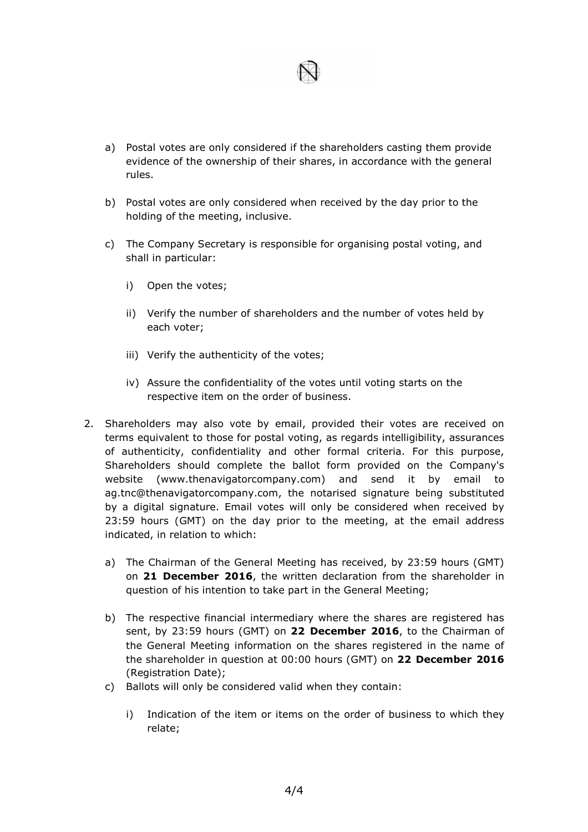

- a) Postal votes are only considered if the shareholders casting them provide evidence of the ownership of their shares, in accordance with the general rules.
- b) Postal votes are only considered when received by the day prior to the holding of the meeting, inclusive.
- c) The Company Secretary is responsible for organising postal voting, and shall in particular:
	- i) Open the votes;
	- ii) Verify the number of shareholders and the number of votes held by each voter;
	- iii) Verify the authenticity of the votes;
	- iv) Assure the confidentiality of the votes until voting starts on the respective item on the order of business.
- 2. Shareholders may also vote by email, provided their votes are received on terms equivalent to those for postal voting, as regards intelligibility, assurances of authenticity, confidentiality and other formal criteria. For this purpose, Shareholders should complete the ballot form provided on the Company's website (www.thenavigatorcompany.com) and send it by email to ag.tnc@thenavigatorcompany.com, the notarised signature being substituted by a digital signature. Email votes will only be considered when received by 23:59 hours (GMT) on the day prior to the meeting, at the email address indicated, in relation to which:
	- a) The Chairman of the General Meeting has received, by 23:59 hours (GMT) on **21 December 2016**, the written declaration from the shareholder in question of his intention to take part in the General Meeting;
	- b) The respective financial intermediary where the shares are registered has sent, by 23:59 hours (GMT) on **22 December 2016**, to the Chairman of the General Meeting information on the shares registered in the name of the shareholder in question at 00:00 hours (GMT) on **22 December 2016** (Registration Date);
	- c) Ballots will only be considered valid when they contain:
		- i) Indication of the item or items on the order of business to which they relate;